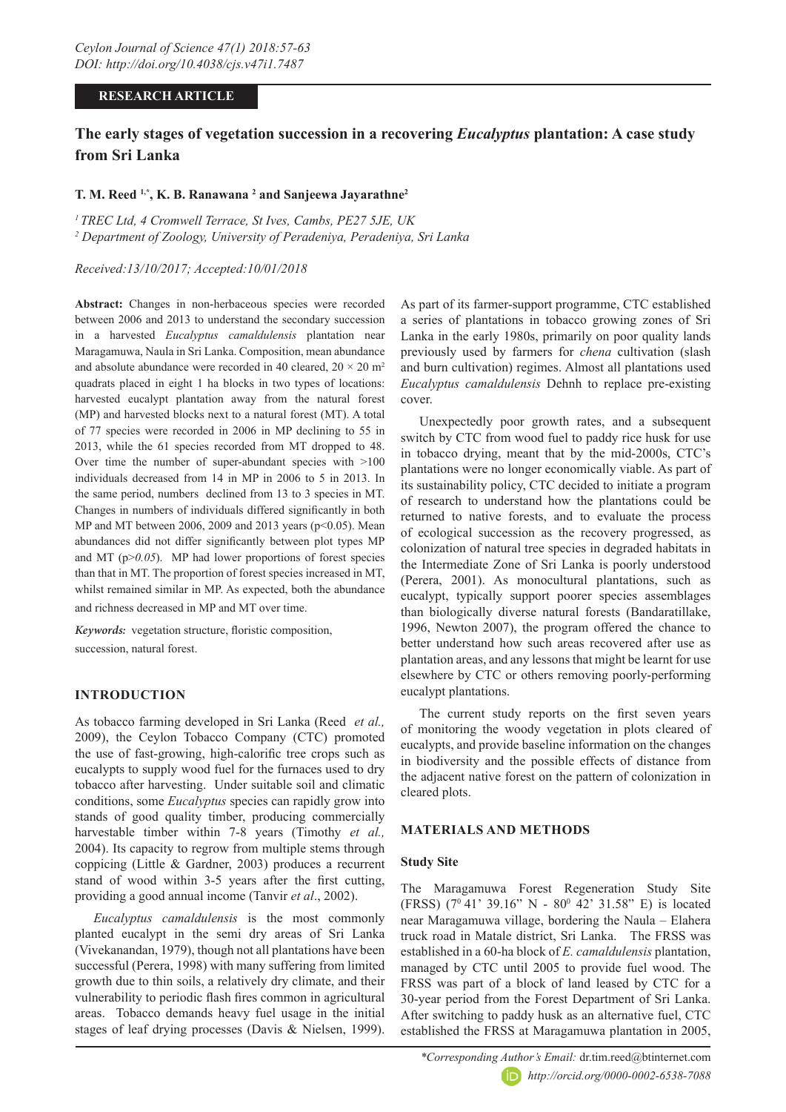### **RESEARCH ARTICLE**

# **The early stages of vegetation succession in a recovering** *Eucalyptus* **plantation: A case study from Sri Lanka**

# **T. M. Reed 1,\*, K. B. Ranawana 2 and Sanjeewa Jayarathne2**

*1 TREC Ltd, 4 Cromwell Terrace, St Ives, Cambs, PE27 5JE, UK 2 Department of Zoology, University of Peradeniya, Peradeniya, Sri Lanka*

### *Received:13/10/2017; Accepted:10/01/2018*

Abstract: Changes in non-herbaceous species were recorded between 2006 and 2013 to understand the secondary succession in a harvested *Eucalyptus camaldulensis* plantation near Maragamuwa, Naula in Sri Lanka. Composition, mean abundance and absolute abundance were recorded in 40 cleared,  $20 \times 20$  m<sup>2</sup> quadrats placed in eight 1 ha blocks in two types of locations: harvested eucalypt plantation away from the natural forest (MP) and harvested blocks next to a natural forest (MT). A total of 77 species were recorded in 2006 in MP declining to 55 in 2013, while the 61 species recorded from MT dropped to 48. Over time the number of super-abundant species with >100 individuals decreased from 14 in MP in 2006 to 5 in 2013. In the same period, numbers declined from 13 to 3 species in MT. Changes in numbers of individuals differed significantly in both MP and MT between 2006, 2009 and 2013 years (p<0.05). Mean abundances did not differ significantly between plot types MP and MT ( $p > 0.05$ ). MP had lower proportions of forest species than that in MT. The proportion of forest species increased in MT, whilst remained similar in MP. As expected, both the abundance and richness decreased in MP and MT over time.

*Keywords:* vegetation structure, floristic composition, succession, natural forest.

# **INTRODUCTION**

As tobacco farming developed in Sri Lanka (Reed *et al.,* 2009), the Ceylon Tobacco Company (CTC) promoted the use of fast-growing, high-calorific tree crops such as eucalypts to supply wood fuel for the furnaces used to dry tobacco after harvesting. Under suitable soil and climatic conditions, some *Eucalyptus* species can rapidly grow into stands of good quality timber, producing commercially harvestable timber within 7-8 years (Timothy *et al.,* 2004). Its capacity to regrow from multiple stems through coppicing (Little & Gardner, 2003) produces a recurrent stand of wood within 3-5 years after the first cutting, providing a good annual income (Tanvir *et al*., 2002).

*Eucalyptus camaldulensis* is the most commonly planted eucalypt in the semi dry areas of Sri Lanka (Vivekanandan, 1979), though not all plantations have been successful (Perera, 1998) with many suffering from limited growth due to thin soils, a relatively dry climate, and their vulnerability to periodic flash fires common in agricultural areas. Tobacco demands heavy fuel usage in the initial stages of leaf drying processes (Davis & Nielsen, 1999).

As part of its farmer-support programme, CTC established a series of plantations in tobacco growing zones of Sri Lanka in the early 1980s, primarily on poor quality lands previously used by farmers for *chena* cultivation (slash and burn cultivation) regimes. Almost all plantations used *Eucalyptus camaldulensis* Dehnh to replace pre-existing cover.

Unexpectedly poor growth rates, and a subsequent switch by CTC from wood fuel to paddy rice husk for use in tobacco drying, meant that by the mid-2000s, CTC's plantations were no longer economically viable. As part of its sustainability policy, CTC decided to initiate a program of research to understand how the plantations could be returned to native forests, and to evaluate the process of ecological succession as the recovery progressed, as colonization of natural tree species in degraded habitats in the Intermediate Zone of Sri Lanka is poorly understood (Perera, 2001). As monocultural plantations, such as eucalypt, typically support poorer species assemblages than biologically diverse natural forests (Bandaratillake, 1996, Newton 2007), the program offered the chance to better understand how such areas recovered after use as plantation areas, and any lessons that might be learnt for use elsewhere by CTC or others removing poorly-performing eucalypt plantations.

The current study reports on the first seven years of monitoring the woody vegetation in plots cleared of eucalypts, and provide baseline information on the changes in biodiversity and the possible effects of distance from the adjacent native forest on the pattern of colonization in cleared plots.

# **MATERIALS AND METHODS**

### **Study Site**

The Maragamuwa Forest Regeneration Study Site (FRSS) (7<sup>0</sup> 41' 39.16" N - 80<sup>0</sup> 42' 31.58" E) is located near Maragamuwa village, bordering the Naula – Elahera truck road in Matale district, Sri Lanka. The FRSS was established in a 60-ha block of *E. camaldulensis* plantation, managed by CTC until 2005 to provide fuel wood. The FRSS was part of a block of land leased by CTC for a 30-year period from the Forest Department of Sri Lanka. After switching to paddy husk as an alternative fuel, CTC established the FRSS at Maragamuwa plantation in 2005,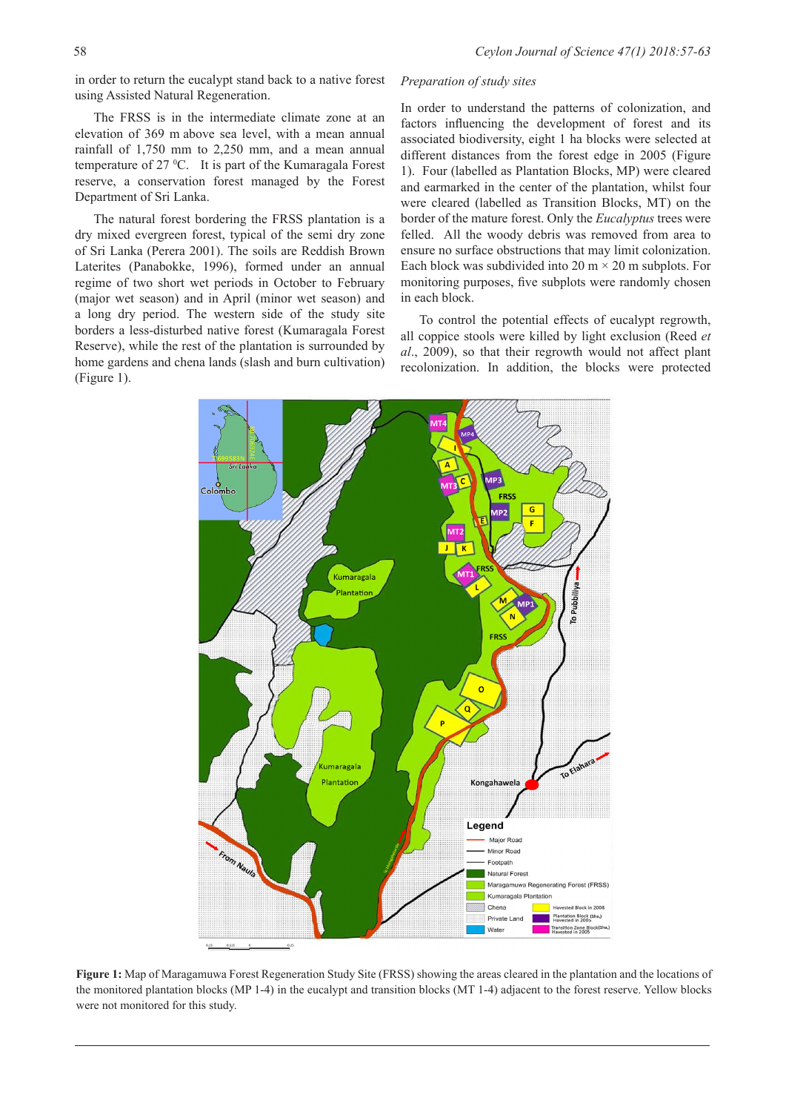in order to return the eucalypt stand back to a native forest using Assisted Natural Regeneration.

The FRSS is in the intermediate climate zone at an elevation of 369 m above sea level, with a mean annual rainfall of 1,750 mm to 2,250 mm, and a mean annual temperature of 27 °C. It is part of the Kumaragala Forest reserve, a conservation forest managed by the Forest Department of Sri Lanka.

The natural forest bordering the FRSS plantation is a dry mixed evergreen forest, typical of the semi dry zone of Sri Lanka (Perera 2001). The soils are Reddish Brown Laterites (Panabokke, 1996), formed under an annual regime of two short wet periods in October to February (major wet season) and in April (minor wet season) and a long dry period. The western side of the study site borders a less-disturbed native forest (Kumaragala Forest Reserve), while the rest of the plantation is surrounded by home gardens and chena lands (slash and burn cultivation) (Figure 1).

### *Preparation of study sites*

In order to understand the patterns of colonization, and factors influencing the development of forest and its associated biodiversity, eight 1 ha blocks were selected at different distances from the forest edge in 2005 (Figure 1). Four (labelled as Plantation Blocks, MP) were cleared and earmarked in the center of the plantation, whilst four were cleared (labelled as Transition Blocks, MT) on the border of the mature forest. Only the *Eucalyptus* trees were felled. All the woody debris was removed from area to ensure no surface obstructions that may limit colonization. Each block was subdivided into 20 m  $\times$  20 m subplots. For monitoring purposes, five subplots were randomly chosen in each block.

To control the potential effects of eucalypt regrowth, all coppice stools were killed by light exclusion (Reed *et al*., 2009), so that their regrowth would not affect plant recolonization. In addition, the blocks were protected



**Figure 1:** Map of Maragamuwa Forest Regeneration Study Site (FRSS) showing the areas cleared in the plantation and the locations of the monitored plantation blocks (MP 1-4) in the eucalypt and transition blocks (MT 1-4) adjacent to the forest reserve. Yellow blocks were not monitored for this study.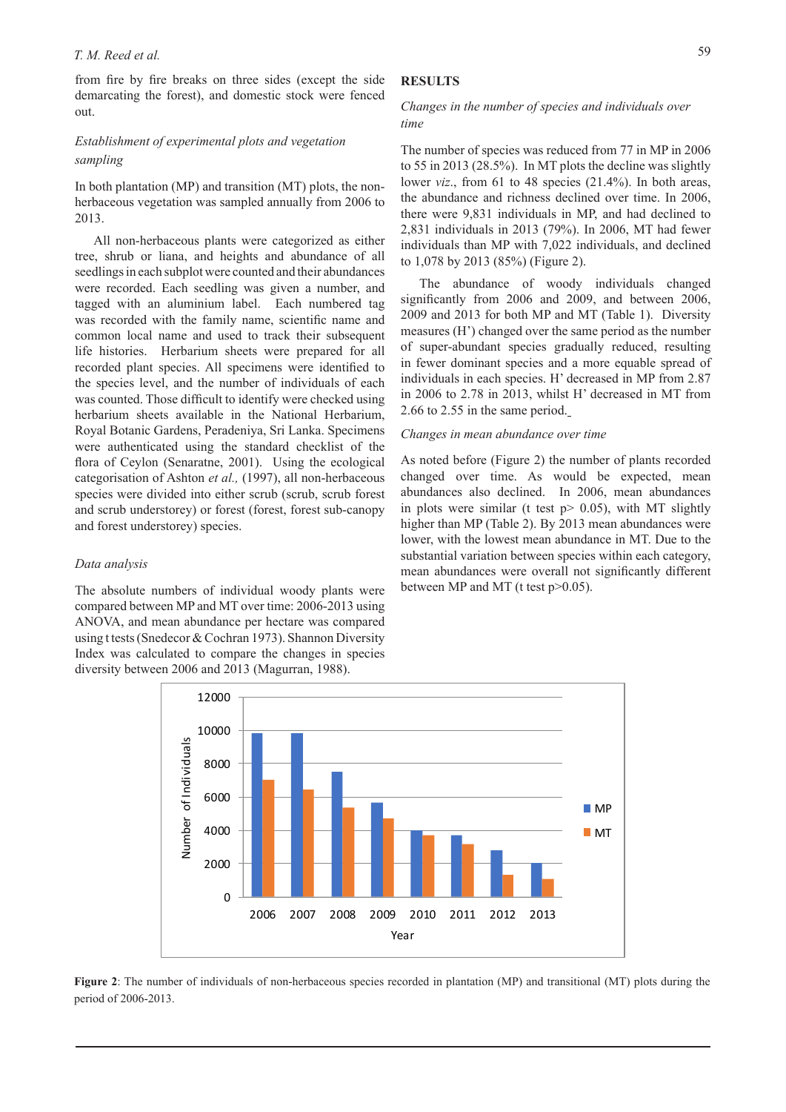#### *T. M. Reed et al.*

from fire by fire breaks on three sides (except the side demarcating the forest), and domestic stock were fenced out.

# *Establishment of experimental plots and vegetation sampling*

In both plantation (MP) and transition (MT) plots, the nonherbaceous vegetation was sampled annually from 2006 to 2013.

All non-herbaceous plants were categorized as either tree, shrub or liana, and heights and abundance of all seedlings in each subplot were counted and their abundances were recorded. Each seedling was given a number, and tagged with an aluminium label. Each numbered tag was recorded with the family name, scientific name and common local name and used to track their subsequent life histories. Herbarium sheets were prepared for all recorded plant species. All specimens were identified to the species level, and the number of individuals of each was counted. Those difficult to identify were checked using herbarium sheets available in the National Herbarium, Royal Botanic Gardens, Peradeniya, Sri Lanka. Specimens were authenticated using the standard checklist of the flora of Ceylon (Senaratne, 2001). Using the ecological categorisation of Ashton *et al.,* (1997), all non-herbaceous species were divided into either scrub (scrub, scrub forest and scrub understorey) or forest (forest, forest sub-canopy and forest understorey) species.

### *Data analysis*

The absolute numbers of individual woody plants were compared between MP and MT over time: 2006-2013 using ANOVA, and mean abundance per hectare was compared using t tests (Snedecor & Cochran 1973). Shannon Diversity Index was calculated to compare the changes in species diversity between 2006 and 2013 (Magurran, 1988).

### **RESULTS**

### *Changes in the number of species and individuals over time*

The number of species was reduced from 77 in MP in 2006 to 55 in 2013 (28.5%). In MT plots the decline was slightly lower *viz*., from 61 to 48 species (21.4%). In both areas, the abundance and richness declined over time. In 2006, there were 9,831 individuals in MP, and had declined to 2,831 individuals in 2013 (79%). In 2006, MT had fewer individuals than MP with 7,022 individuals, and declined to 1,078 by 2013 (85%) (Figure 2).

The abundance of woody individuals changed significantly from 2006 and 2009, and between 2006, 2009 and 2013 for both MP and MT (Table 1). Diversity measures (H') changed over the same period as the number of super-abundant species gradually reduced, resulting in fewer dominant species and a more equable spread of individuals in each species. H' decreased in MP from 2.87 in 2006 to 2.78 in 2013, whilst H' decreased in MT from 2.66 to 2.55 in the same period.

#### *Changes in mean abundance over time*

As noted before (Figure 2) the number of plants recorded changed over time. As would be expected, mean abundances also declined. In 2006, mean abundances in plots were similar (t test  $p > 0.05$ ), with MT slightly higher than MP (Table 2). By 2013 mean abundances were lower, with the lowest mean abundance in MT. Due to the substantial variation between species within each category, mean abundances were overall not significantly different between MP and MT (t test p>0.05).



**Figure 2**: The number of individuals of non-herbaceous species recorded in plantation (MP) and transitional (MT) plots during the period of 2006-2013.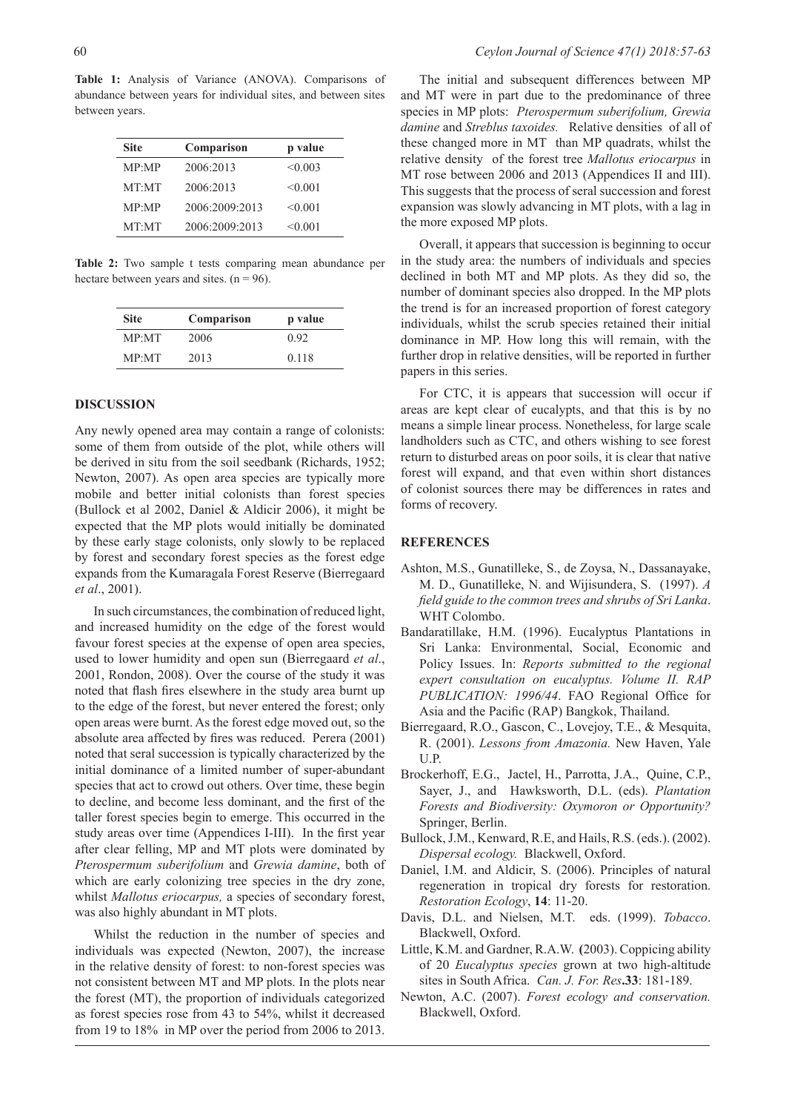**Table 1:** Analysis of Variance (ANOVA). Comparisons of abundance between years for individual sites, and between sites between years.

| <b>Site</b> | Comparison     | p value |
|-------------|----------------|---------|
| MP:MP       | 2006:2013      | < 0.003 |
| MT:MT       | 2006:2013      | < 0.001 |
| MP:MP       | 2006:2009:2013 | < 0.001 |
| MT:MT       | 2006:2009:2013 | < 0.001 |

**Table 2:** Two sample t tests comparing mean abundance per hectare between years and sites.  $(n = 96)$ .

| <b>Site</b> | Comparison | p value |  |  |
|-------------|------------|---------|--|--|
| MP·MT       | 2006       | 0.92    |  |  |
| MP·MT       | 2013       | 0.118   |  |  |

#### **DISCUSSION**

Any newly opened area may contain a range of colonists: some of them from outside of the plot, while others will be derived in situ from the soil seedbank (Richards, 1952; Newton, 2007). As open area species are typically more mobile and better initial colonists than forest species (Bullock et al 2002, Daniel & Aldicir 2006), it might be expected that the MP plots would initially be dominated by these early stage colonists, only slowly to be replaced by forest and secondary forest species as the forest edge expands from the Kumaragala Forest Reserve (Bierregaard *et al*., 2001).

In such circumstances, the combination of reduced light, and increased humidity on the edge of the forest would favour forest species at the expense of open area species, used to lower humidity and open sun (Bierregaard *et al*., 2001, Rondon, 2008). Over the course of the study it was noted that flash fires elsewhere in the study area burnt up to the edge of the forest, but never entered the forest; only open areas were burnt. As the forest edge moved out, so the absolute area affected by fires was reduced. Perera (2001) noted that seral succession is typically characterized by the initial dominance of a limited number of super-abundant species that act to crowd out others. Over time, these begin to decline, and become less dominant, and the first of the taller forest species begin to emerge. This occurred in the study areas over time (Appendices I-III). In the first year after clear felling, MP and MT plots were dominated by *Pterospermum suberifolium* and *Grewia damine*, both of which are early colonizing tree species in the dry zone, whilst *Mallotus eriocarpus,* a species of secondary forest, was also highly abundant in MT plots.

Whilst the reduction in the number of species and individuals was expected (Newton, 2007), the increase in the relative density of forest: to non-forest species was not consistent between MT and MP plots. In the plots near the forest (MT), the proportion of individuals categorized as forest species rose from 43 to 54%, whilst it decreased from 19 to 18% in MP over the period from 2006 to 2013.

The initial and subsequent differences between MP and MT were in part due to the predominance of three species in MP plots: *Pterospermum suberifolium, Grewia damine* and *Streblus taxoides.* Relative densities of all of these changed more in MT than MP quadrats, whilst the relative density of the forest tree *Mallotus eriocarpus* in MT rose between 2006 and 2013 (Appendices II and III). This suggests that the process of seral succession and forest expansion was slowly advancing in MT plots, with a lag in the more exposed MP plots.

Overall, it appears that succession is beginning to occur in the study area: the numbers of individuals and species declined in both MT and MP plots. As they did so, the number of dominant species also dropped. In the MP plots the trend is for an increased proportion of forest category individuals, whilst the scrub species retained their initial dominance in MP. How long this will remain, with the further drop in relative densities, will be reported in further papers in this series.

For CTC, it is appears that succession will occur if areas are kept clear of eucalypts, and that this is by no means a simple linear process. Nonetheless, for large scale landholders such as CTC, and others wishing to see forest return to disturbed areas on poor soils, it is clear that native forest will expand, and that even within short distances of colonist sources there may be differences in rates and forms of recovery.

#### **REFERENCES**

- Ashton, M.S., Gunatilleke, S., de Zoysa, N., Dassanayake, M. D., Gunatilleke, N. and Wijisundera, S. (1997). *A field guide to the common trees and shrubs of Sri Lanka*. WHT Colombo.
- Bandaratillake, H.M. (1996). Eucalyptus Plantations in Sri Lanka: Environmental, Social, Economic and Policy Issues. In: *Reports submitted to the regional expert consultation on eucalyptus. Volume II. RAP PUBLICATION: 1996/44*. FAO Regional Office for Asia and the Pacific (RAP) Bangkok, Thailand.
- Bierregaard, R.O., Gascon, C., Lovejoy, T.E., & Mesquita, R. (2001). *Lessons from Amazonia.* New Haven, Yale U.P.
- Brockerhoff, E.G., Jactel, H., Parrotta, J.A., Quine, C.P., Sayer, J., and Hawksworth, D.L. (eds). *Plantation Forests and Biodiversity: Oxymoron or Opportunity?* Springer, Berlin.
- Bullock, J.M., Kenward, R.E, and Hails, R.S. (eds.). (2002). *Dispersal ecology.* Blackwell, Oxford.
- Daniel, I.M. and Aldicir, S. (2006). Principles of natural regeneration in tropical dry forests for restoration. *Restoration Ecology*, **14**: 11-20.
- Davis, D.L. and Nielsen, M.T. eds. (1999). *Tobacco*. Blackwell, Oxford.
- Little, K.M. and Gardner, R.A.W. **(**2003). Coppicing ability of 20 *Eucalyptus species* grown at two high-altitude sites in South Africa. *Can. J. For. Res***.33**: 181-189.
- Newton, A.C. (2007). *Forest ecology and conservation.* Blackwell, Oxford.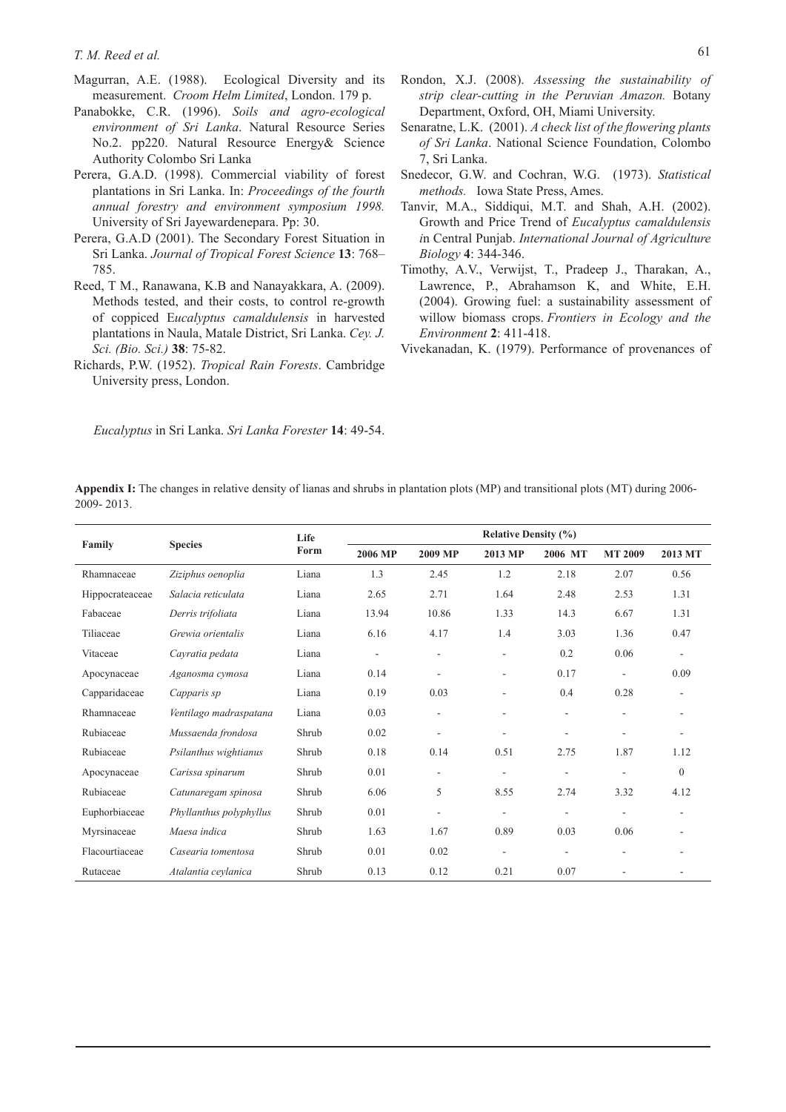- Magurran, A.E. (1988). Ecological Diversity and its measurement. *Croom Helm Limited*, London. 179 p.
- Panabokke, C.R. (1996). *Soils and agro-ecological environment of Sri Lanka*. Natural Resource Series No.2. pp220. Natural Resource Energy& Science Authority Colombo Sri Lanka
- Perera, G.A.D. (1998). Commercial viability of forest plantations in Sri Lanka. In: *Proceedings of the fourth annual forestry and environment symposium 1998.* University of Sri Jayewardenepara. Pp: 30.
- Perera, G.A.D (2001). The Secondary Forest Situation in Sri Lanka. *Journal of Tropical Forest Science* **13**: 768– 785.
- Reed, T M., Ranawana, K.B and Nanayakkara, A. (2009). Methods tested, and their costs, to control re-growth of coppiced E*ucalyptus camaldulensis* in harvested plantations in Naula, Matale District, Sri Lanka. *Cey. J. Sci. (Bio. Sci.)* **38**: 75-82.
- Richards, P.W. (1952). *Tropical Rain Forests*. Cambridge University press, London.
- Rondon, X.J. (2008). *Assessing the sustainability of strip clear-cutting in the Peruvian Amazon.* Botany Department, Oxford, OH, Miami University.
- Senaratne, L.K. (2001). *A check list of the flowering plants of Sri Lanka*. National Science Foundation, Colombo 7, Sri Lanka.
- Snedecor, G.W. and Cochran, W.G. (1973). *Statistical methods.* Iowa State Press, Ames.
- Tanvir, M.A., Siddiqui, M.T. and Shah, A.H. (2002). Growth and Price Trend of *Eucalyptus camaldulensis i*n Central Punjab. *International Journal of Agriculture Biology* **4**: 344-346.
- Timothy, A.V., Verwijst, T., Pradeep J., Tharakan, A., Lawrence, P., Abrahamson K, and White, E.H. (2004). Growing fuel: a sustainability assessment of willow biomass crops. *Frontiers in Ecology and the Environment* **2**: 411-418.
- Vivekanadan, K. (1979). Performance of provenances of

*Eucalyptus* in Sri Lanka. *Sri Lanka Forester* **14**: 49-54.

**Appendix I:** The changes in relative density of lianas and shrubs in plantation plots (MP) and transitional plots (MT) during 2006- 2009- 2013.

| Family          | <b>Species</b>          | Life<br>Form | <b>Relative Density (%)</b> |                          |                          |                          |                |                          |
|-----------------|-------------------------|--------------|-----------------------------|--------------------------|--------------------------|--------------------------|----------------|--------------------------|
|                 |                         |              | 2006 MP                     | 2009 MP                  | 2013 MP                  | 2006 MT                  | <b>MT 2009</b> | 2013 MT                  |
| Rhamnaceae      | Ziziphus oenoplia       | Liana        | 1.3                         | 2.45                     | 1.2                      | 2.18                     | 2.07           | 0.56                     |
| Hippocrateaceae | Salacia reticulata      | Liana        | 2.65                        | 2.71                     | 1.64                     | 2.48                     | 2.53           | 1.31                     |
| Fabaceae        | Derris trifoliata       | Liana        | 13.94                       | 10.86                    | 1.33                     | 14.3                     | 6.67           | 1.31                     |
| Tiliaceae       | Grewia orientalis       | Liana        | 6.16                        | 4.17                     | 1.4                      | 3.03                     | 1.36           | 0.47                     |
| Vitaceae        | Cayratia pedata         | Liana        | $\overline{\phantom{a}}$    | $\overline{\phantom{a}}$ | $\overline{\phantom{a}}$ | 0.2                      | 0.06           | $\overline{\phantom{a}}$ |
| Apocynaceae     | Aganosma cymosa         | Liana        | 0.14                        | $\overline{\phantom{a}}$ | $\overline{\phantom{a}}$ | 0.17                     | ۰              | 0.09                     |
| Capparidaceae   | Capparis sp             | Liana        | 0.19                        | 0.03                     | ÷,                       | 0.4                      | 0.28           | ٠                        |
| Rhamnaceae      | Ventilago madraspatana  | Liana        | 0.03                        | $\overline{\phantom{a}}$ | $\overline{\phantom{a}}$ | ٠                        | ۰              | $\overline{\phantom{a}}$ |
| Rubiaceae       | Mussaenda frondosa      | Shrub        | 0.02                        | $\overline{\phantom{a}}$ | ۰                        | ۰                        | ۰              | $\overline{\phantom{a}}$ |
| Rubiaceae       | Psilanthus wightianus   | Shrub        | 0.18                        | 0.14                     | 0.51                     | 2.75                     | 1.87           | 1.12                     |
| Apocynaceae     | Carissa spinarum        | Shrub        | 0.01                        | $\overline{\phantom{a}}$ | ٠                        | $\overline{\phantom{a}}$ | ÷              | $\overline{0}$           |
| Rubiaceae       | Catunaregam spinosa     | Shrub        | 6.06                        | 5                        | 8.55                     | 2.74                     | 3.32           | 4.12                     |
| Euphorbiaceae   | Phyllanthus polyphyllus | Shrub        | 0.01                        | $\overline{\phantom{a}}$ | $\overline{\phantom{a}}$ | $\overline{\phantom{a}}$ | ۰              | $\overline{\phantom{a}}$ |
| Myrsinaceae     | Maesa indica            | Shrub        | 1.63                        | 1.67                     | 0.89                     | 0.03                     | 0.06           | $\overline{\phantom{a}}$ |
| Flacourtiaceae  | Casearia tomentosa      | Shrub        | 0.01                        | 0.02                     | ۰                        | $\overline{\phantom{a}}$ | ۰              | ٠                        |
| Rutaceae        | Atalantia ceylanica     | Shrub        | 0.13                        | 0.12                     | 0.21                     | 0.07                     |                |                          |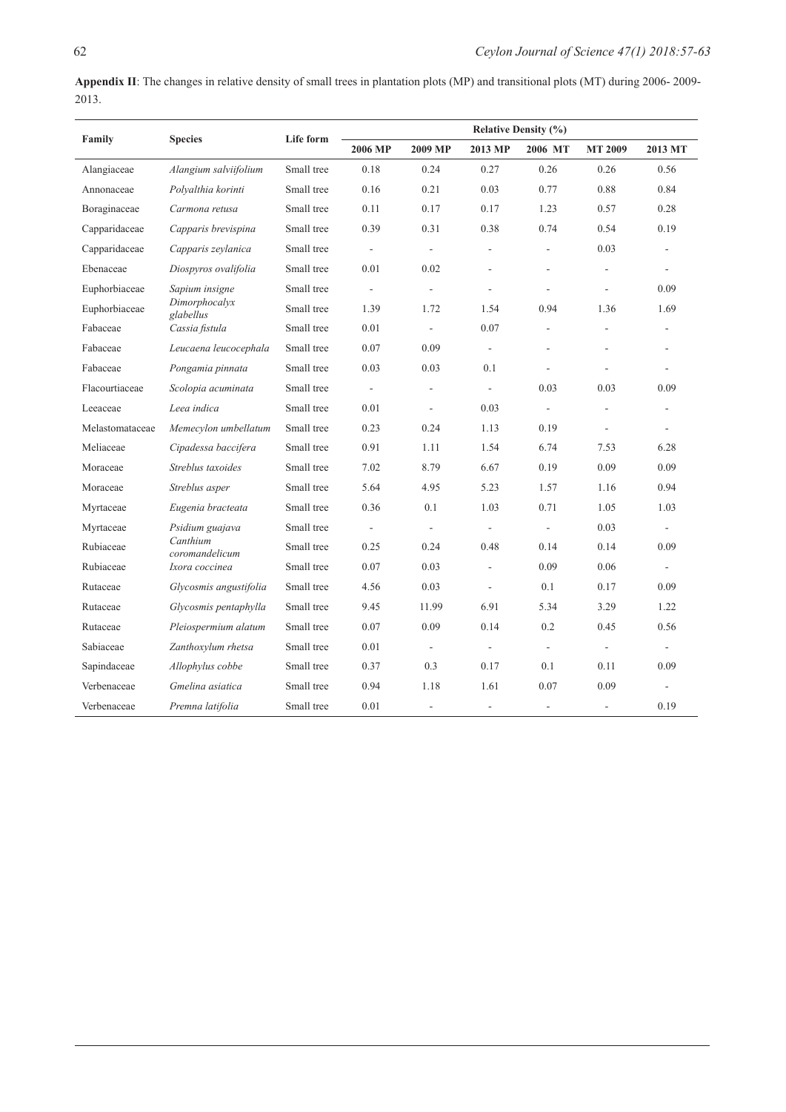**Appendix II**: The changes in relative density of small trees in plantation plots (MP) and transitional plots (MT) during 2006- 2009- 2013.

|                 | <b>Species</b>             | Life form  | <b>Relative Density (%)</b> |                          |                          |                          |                          |                             |  |
|-----------------|----------------------------|------------|-----------------------------|--------------------------|--------------------------|--------------------------|--------------------------|-----------------------------|--|
| Family          |                            |            | 2006 MP                     | 2009 MP                  | 2013 MP                  | 2006 MT                  | <b>MT 2009</b>           | 2013 MT                     |  |
| Alangiaceae     | Alangium salviifolium      | Small tree | 0.18                        | 0.24                     | 0.27                     | 0.26                     | 0.26                     | 0.56                        |  |
| Annonaceae      | Polyalthia korinti         | Small tree | 0.16                        | 0.21                     | 0.03                     | 0.77                     | 0.88                     | 0.84                        |  |
| Boraginaceae    | Carmona retusa             | Small tree | 0.11                        | 0.17                     | 0.17                     | 1.23                     | 0.57                     | 0.28                        |  |
| Capparidaceae   | Capparis brevispina        | Small tree | 0.39                        | 0.31                     | 0.38                     | 0.74                     | 0.54                     | 0.19                        |  |
| Capparidaceae   | Capparis zeylanica         | Small tree | $\Box$                      | $\overline{\phantom{a}}$ | ÷,                       | $\overline{\phantom{a}}$ | 0.03                     | $\overline{\phantom{a}}$    |  |
| Ebenaceae       | Diospyros ovalifolia       | Small tree | 0.01                        | 0.02                     | ÷.                       | ÷.                       | ä,                       | $\overline{\phantom{a}}$    |  |
| Euphorbiaceae   | Sapium insigne             | Small tree | $\overline{\phantom{a}}$    | ÷,                       | L,                       | $\frac{1}{2}$            | L.                       | 0.09                        |  |
| Euphorbiaceae   | Dimorphocalyx<br>glabellus | Small tree | 1.39                        | 1.72                     | 1.54                     | 0.94                     | 1.36                     | 1.69                        |  |
| Fabaceae        | Cassia fistula             | Small tree | 0.01                        | ÷,                       | 0.07                     | $\frac{1}{2}$            | ä,                       | $\overline{\phantom{m}}$    |  |
| Fabaceae        | Leucaena leucocephala      | Small tree | 0.07                        | 0.09                     | $\overline{\phantom{a}}$ | ä,                       |                          |                             |  |
| Fabaceae        | Pongamia pinnata           | Small tree | 0.03                        | 0.03                     | 0.1                      | $\frac{1}{2}$            |                          | $\overline{\phantom{a}}$    |  |
| Flacourtiaceae  | Scolopia acuminata         | Small tree | $\overline{\phantom{a}}$    | ÷,                       | $\overline{\phantom{a}}$ | 0.03                     | 0.03                     | 0.09                        |  |
| Leeaceae        | Leea indica                | Small tree | 0.01                        | $\overline{\phantom{a}}$ | 0.03                     | $\frac{1}{2}$            | ÷,                       | $\overline{\phantom{a}}$    |  |
| Melastomataceae | Memecylon umbellatum       | Small tree | 0.23                        | 0.24                     | 1.13                     | 0.19                     | $\overline{\phantom{a}}$ | $\overline{\phantom{a}}$    |  |
| Meliaceae       | Cipadessa baccifera        | Small tree | 0.91                        | 1.11                     | 1.54                     | 6.74                     | 7.53                     | 6.28                        |  |
| Moraceae        | Streblus taxoides          | Small tree | 7.02                        | 8.79                     | 6.67                     | 0.19                     | 0.09                     | 0.09                        |  |
| Moraceae        | Streblus asper             | Small tree | 5.64                        | 4.95                     | 5.23                     | 1.57                     | 1.16                     | 0.94                        |  |
| Myrtaceae       | Eugenia bracteata          | Small tree | 0.36                        | 0.1                      | 1.03                     | 0.71                     | 1.05                     | 1.03                        |  |
| Myrtaceae       | Psidium guajava            | Small tree | $\overline{\phantom{a}}$    | $\overline{\phantom{a}}$ | $\overline{\phantom{a}}$ | $\overline{\phantom{a}}$ | 0.03                     | $\sim$                      |  |
| Rubiaceae       | Canthium<br>coromandelicum | Small tree | 0.25                        | 0.24                     | 0.48                     | 0.14                     | 0.14                     | 0.09                        |  |
| Rubiaceae       | Ixora coccinea             | Small tree | 0.07                        | 0.03                     | L,                       | 0.09                     | 0.06                     | $\sim$                      |  |
| Rutaceae        | Glycosmis angustifolia     | Small tree | 4.56                        | 0.03                     | ÷,                       | 0.1                      | 0.17                     | 0.09                        |  |
| Rutaceae        | Glycosmis pentaphylla      | Small tree | 9.45                        | 11.99                    | 6.91                     | 5.34                     | 3.29                     | 1.22                        |  |
| Rutaceae        | Pleiospermium alatum       | Small tree | 0.07                        | 0.09                     | 0.14                     | 0.2                      | 0.45                     | 0.56                        |  |
| Sabiaceae       | Zanthoxylum rhetsa         | Small tree | 0.01                        | $\overline{\phantom{a}}$ | $\overline{\phantom{a}}$ | $\overline{\phantom{a}}$ | $\overline{\phantom{a}}$ | $\mathcal{L}^{\mathcal{L}}$ |  |
| Sapindaceae     | Allophylus cobbe           | Small tree | 0.37                        | 0.3                      | 0.17                     | 0.1                      | 0.11                     | 0.09                        |  |
| Verbenaceae     | Gmelina asiatica           | Small tree | 0.94                        | 1.18                     | 1.61                     | 0.07                     | 0.09                     | ÷                           |  |
| Verbenaceae     | Premna latifolia           | Small tree | 0.01                        | ÷,                       | $\overline{\phantom{a}}$ | $\overline{\phantom{a}}$ | $\overline{\phantom{a}}$ | 0.19                        |  |